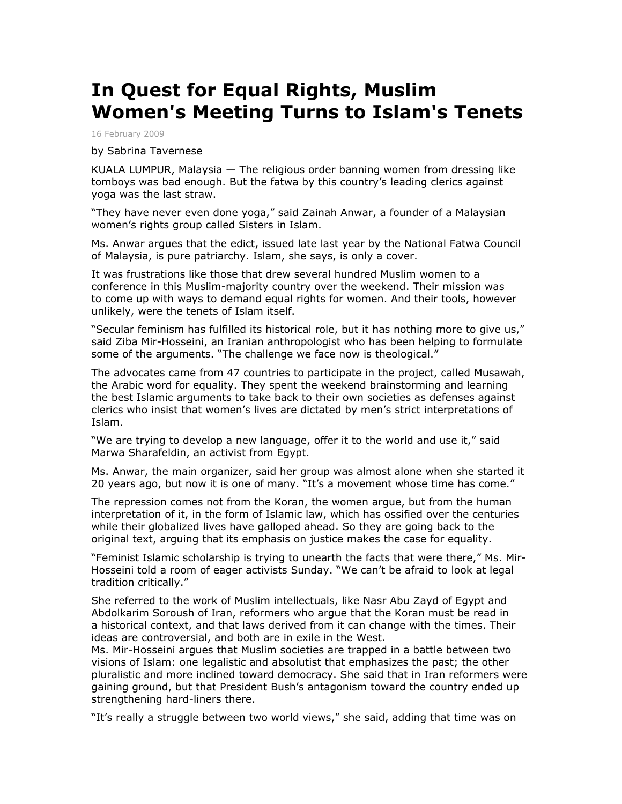## **In Quest for Equal Rights, Muslim Women's Meeting Turns to Islam's Tenets**

16 February 2009

by Sabrina Tavernese

KUALA LUMPUR, Malaysia — The religious order banning women from dressing like tomboys was bad enough. But the fatwa by this country's leading clerics against yoga was the last straw.

"They have never even done yoga," said Zainah Anwar, a founder of a Malaysian women's rights group called Sisters in Islam.

Ms. Anwar argues that the edict, issued late last year by the National Fatwa Council of Malaysia, is pure patriarchy. Islam, she says, is only a cover.

It was frustrations like those that drew several hundred Muslim women to a conference in this Muslim-majority country over the weekend. Their mission was to come up with ways to demand equal rights for women. And their tools, however unlikely, were the tenets of Islam itself.

"Secular feminism has fulfilled its historical role, but it has nothing more to give us," said Ziba Mir-Hosseini, an Iranian anthropologist who has been helping to formulate some of the arguments. "The challenge we face now is theological."

The advocates came from 47 countries to participate in the project, called Musawah, the Arabic word for equality. They spent the weekend brainstorming and learning the best Islamic arguments to take back to their own societies as defenses against clerics who insist that women's lives are dictated by men's strict interpretations of Islam.

"We are trying to develop a new language, offer it to the world and use it," said Marwa Sharafeldin, an activist from Egypt.

Ms. Anwar, the main organizer, said her group was almost alone when she started it 20 years ago, but now it is one of many. "It's a movement whose time has come."

The repression comes not from the Koran, the women argue, but from the human interpretation of it, in the form of Islamic law, which has ossified over the centuries while their globalized lives have galloped ahead. So they are going back to the original text, arguing that its emphasis on justice makes the case for equality.

"Feminist Islamic scholarship is trying to unearth the facts that were there," Ms. Mir-Hosseini told a room of eager activists Sunday. "We can't be afraid to look at legal tradition critically."

She referred to the work of Muslim intellectuals, like Nasr Abu Zayd of Egypt and Abdolkarim Soroush of Iran, reformers who argue that the Koran must be read in a historical context, and that laws derived from it can change with the times. Their ideas are controversial, and both are in exile in the West.

Ms. Mir-Hosseini argues that Muslim societies are trapped in a battle between two visions of Islam: one legalistic and absolutist that emphasizes the past; the other pluralistic and more inclined toward democracy. She said that in Iran reformers were gaining ground, but that President Bush's antagonism toward the country ended up strengthening hard-liners there.

"It's really a struggle between two world views," she said, adding that time was on